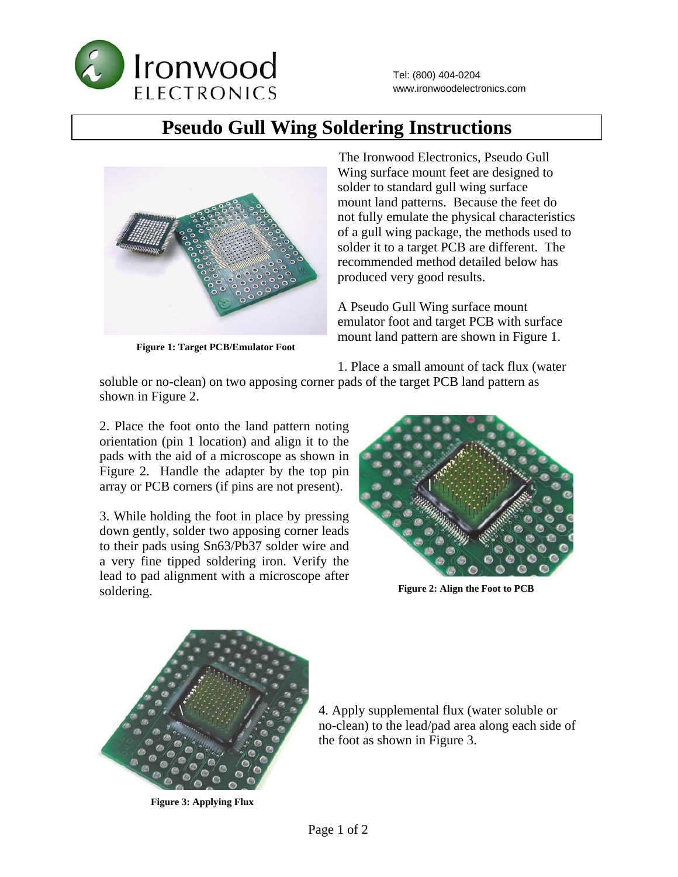

## **Pseudo Gull Wing Soldering Instructions**



**Figure 1: Target PCB/Emulator Foot** 

 The Ironwood Electronics, Pseudo Gull Wing surface mount feet are designed to solder to standard gull wing surface mount land patterns. Because the feet do not fully emulate the physical characteristics of a gull wing package, the methods used to solder it to a target PCB are different. The recommended method detailed below has produced very good results.

A Pseudo Gull Wing surface mount emulator foot and target PCB with surface mount land pattern are shown in Figure 1.

1. Place a small amount of tack flux (water

soluble or no-clean) on two apposing corner pads of the target PCB land pattern as shown in Figure 2.

2. Place the foot onto the land pattern noting orientation (pin 1 location) and align it to the pads with the aid of a microscope as shown in Figure 2. Handle the adapter by the top pin array or PCB corners (if pins are not present).

3. While holding the foot in place by pressing down gently, solder two apposing corner leads to their pads using Sn63/Pb37 solder wire and a very fine tipped soldering iron. Verify the lead to pad alignment with a microscope after soldering.



**Figure 2: Align the Foot to PCB** 



**Figure 3: Applying Flux**

4. Apply supplemental flux (water soluble or no-clean) to the lead/pad area along each side of the foot as shown in Figure 3.